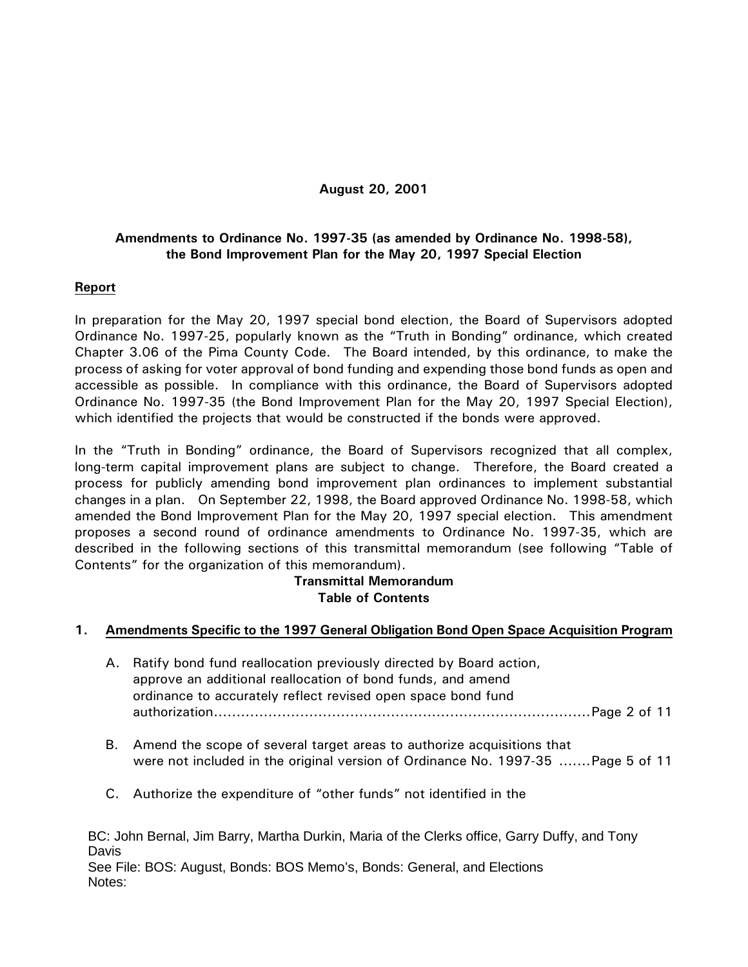## **August 20, 2001**

# **Amendments to Ordinance No. 1997-35 (as amended by Ordinance No. 1998-58), the Bond Improvement Plan for the May 20, 1997 Special Election**

## **Report**

In preparation for the May 20, 1997 special bond election, the Board of Supervisors adopted Ordinance No. 1997-25, popularly known as the "Truth in Bonding" ordinance, which created Chapter 3.06 of the Pima County Code. The Board intended, by this ordinance, to make the process of asking for voter approval of bond funding and expending those bond funds as open and accessible as possible. In compliance with this ordinance, the Board of Supervisors adopted Ordinance No. 1997-35 (the Bond Improvement Plan for the May 20, 1997 Special Election), which identified the projects that would be constructed if the bonds were approved.

In the "Truth in Bonding" ordinance, the Board of Supervisors recognized that all complex, long-term capital improvement plans are subject to change. Therefore, the Board created a process for publicly amending bond improvement plan ordinances to implement substantial changes in a plan. On September 22, 1998, the Board approved Ordinance No. 1998-58, which amended the Bond Improvement Plan for the May 20, 1997 special election. This amendment proposes a second round of ordinance amendments to Ordinance No. 1997-35, which are described in the following sections of this transmittal memorandum (see following "Table of Contents" for the organization of this memorandum).

# **Transmittal Memorandum Table of Contents**

# **1. Amendments Specific to the 1997 General Obligation Bond Open Space Acquisition Program**

- A. Ratify bond fund reallocation previously directed by Board action, approve an additional reallocation of bond funds, and amend ordinance to accurately reflect revised open space bond fund authorization...................................................................................Page 2 of 11
- B. Amend the scope of several target areas to authorize acquisitions that were not included in the original version of Ordinance No. 1997-35 .......Page 5 of 11
- C. Authorize the expenditure of "other funds" not identified in the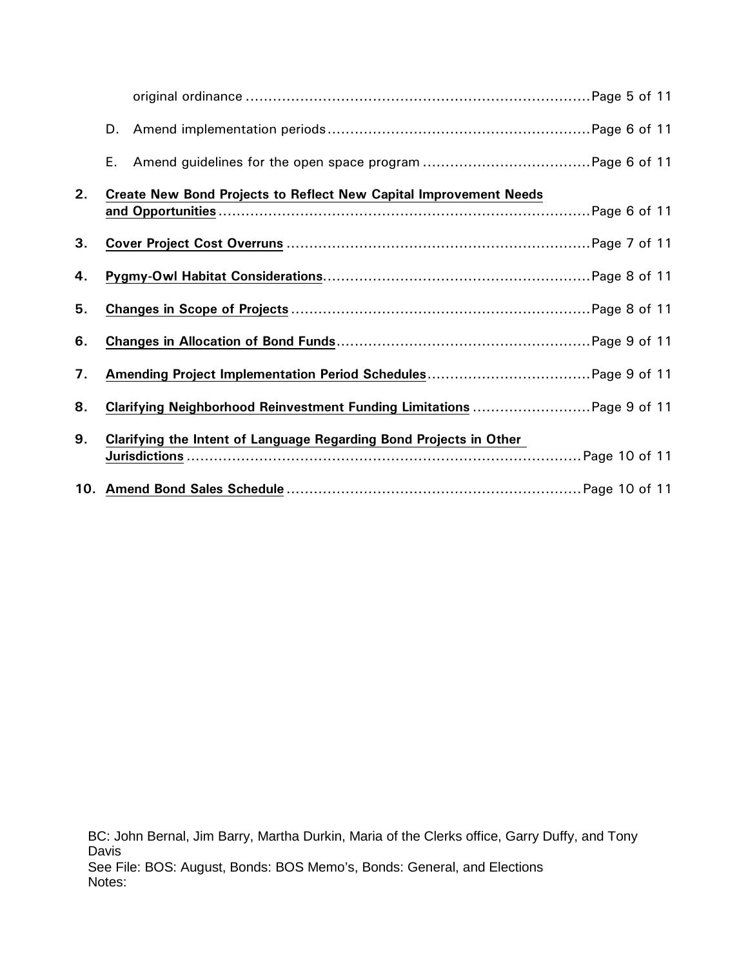|    | D. |                                                                          |  |
|----|----|--------------------------------------------------------------------------|--|
|    | Ε. |                                                                          |  |
| 2. |    | <b>Create New Bond Projects to Reflect New Capital Improvement Needs</b> |  |
|    |    |                                                                          |  |
| 3. |    |                                                                          |  |
| 4. |    |                                                                          |  |
| 5. |    |                                                                          |  |
| 6. |    |                                                                          |  |
| 7. |    |                                                                          |  |
| 8. |    | Clarifying Neighborhood Reinvestment Funding Limitations  Page 9 of 11   |  |
| 9. |    | Clarifying the Intent of Language Regarding Bond Projects in Other       |  |
|    |    |                                                                          |  |
|    |    |                                                                          |  |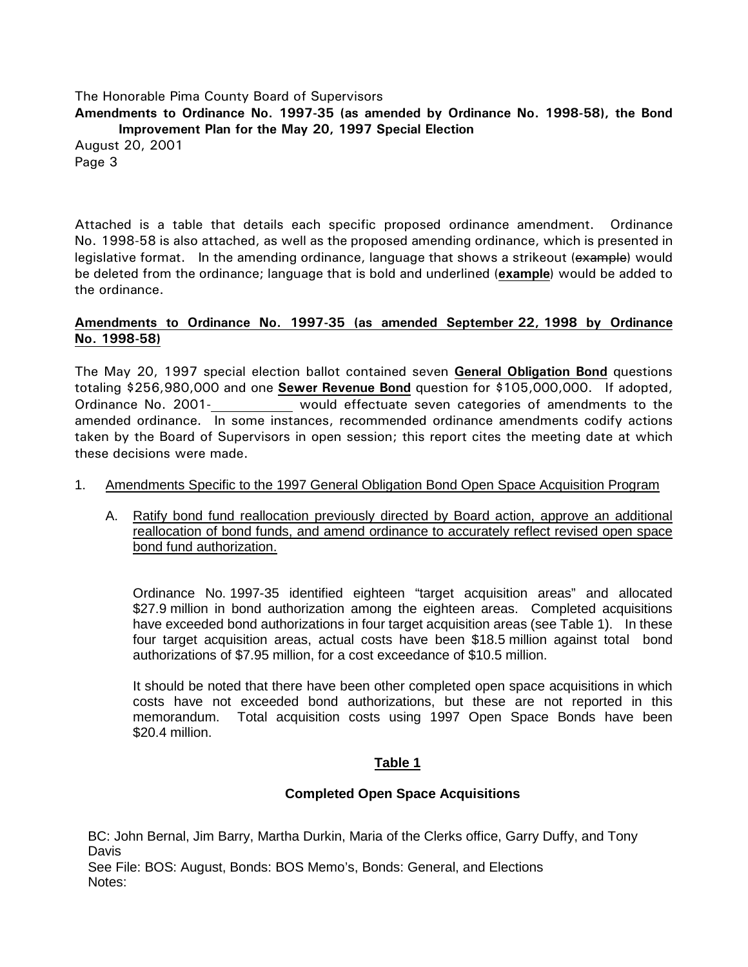**Amendments to Ordinance No. 1997-35 (as amended by Ordinance No. 1998-58), the Bond Improvement Plan for the May 20, 1997 Special Election**

August 20, 2001 Page 3

Attached is a table that details each specific proposed ordinance amendment. Ordinance No. 1998-58 is also attached, as well as the proposed amending ordinance, which is presented in legislative format. In the amending ordinance, language that shows a strikeout (example) would be deleted from the ordinance; language that is bold and underlined (**example**) would be added to the ordinance.

## **Amendments to Ordinance No. 1997-35 (as amended September 22, 1998 by Ordinance No. 1998-58)**

The May 20, 1997 special election ballot contained seven **General Obligation Bond** questions totaling \$256,980,000 and one **Sewer Revenue Bond** question for \$105,000,000. If adopted, Ordinance No. 2001- would effectuate seven categories of amendments to the amended ordinance. In some instances, recommended ordinance amendments codify actions taken by the Board of Supervisors in open session; this report cites the meeting date at which these decisions were made.

### 1. Amendments Specific to the 1997 General Obligation Bond Open Space Acquisition Program

A. Ratify bond fund reallocation previously directed by Board action, approve an additional reallocation of bond funds, and amend ordinance to accurately reflect revised open space bond fund authorization.

Ordinance No. 1997-35 identified eighteen "target acquisition areas" and allocated \$27.9 million in bond authorization among the eighteen areas. Completed acquisitions have exceeded bond authorizations in four target acquisition areas (see Table 1). In these four target acquisition areas, actual costs have been \$18.5 million against total bond authorizations of \$7.95 million, for a cost exceedance of \$10.5 million.

It should be noted that there have been other completed open space acquisitions in which costs have not exceeded bond authorizations, but these are not reported in this memorandum. Total acquisition costs using 1997 Open Space Bonds have been \$20.4 million.

### **Table 1**

### **Completed Open Space Acquisitions**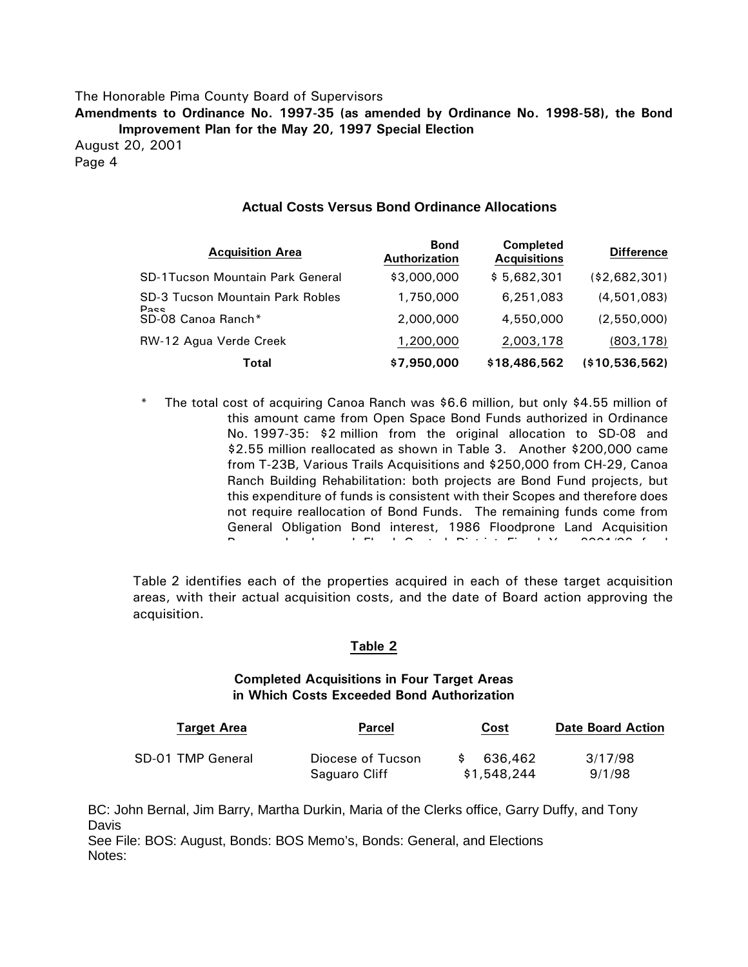**Amendments to Ordinance No. 1997-35 (as amended by Ordinance No. 1998-58), the Bond Improvement Plan for the May 20, 1997 Special Election**

August 20, 2001 Page 4

#### **Actual Costs Versus Bond Ordinance Allocations**

| <b>Acquisition Area</b>                 | <b>Bond</b><br><b>Authorization</b> | <b>Completed</b><br><b>Acquisitions</b> | <b>Difference</b> |
|-----------------------------------------|-------------------------------------|-----------------------------------------|-------------------|
| <b>SD-1Tucson Mountain Park General</b> | \$3,000,000                         | \$5,682,301                             | (\$2,682,301)     |
| <b>SD-3 Tucson Mountain Park Robles</b> | 1,750,000                           | 6,251,083                               | (4,501,083)       |
| <b>Pacc</b><br>SD-08 Canoa Ranch*       | 2,000,000                           | 4,550,000                               | (2,550,000)       |
| RW-12 Agua Verde Creek                  | 1,200,000                           | 2,003,178                               | (803, 178)        |
| Total                                   | \$7,950,000                         | \$18,486,562                            | (\$10,536,562)    |

\* The total cost of acquiring Canoa Ranch was \$6.6 million, but only \$4.55 million of this amount came from Open Space Bond Funds authorized in Ordinance No. 1997-35: \$2 million from the original allocation to SD-08 and \$2.55 million reallocated as shown in Table 3. Another \$200,000 came from T-23B, Various Trails Acquisitions and \$250,000 from CH-29, Canoa Ranch Building Rehabilitation: both projects are Bond Fund projects, but this expenditure of funds is consistent with their Scopes and therefore does not require reallocation of Bond Funds. The remaining funds come from General Obligation Bond interest, 1986 Floodprone Land Acquisition P b d d Fl d C t l Di t i t Fi l Y 2001/02 f d

Table 2 identifies each of the properties acquired in each of these target acquisition areas, with their actual acquisition costs, and the date of Board action approving the acquisition.

#### **Table 2**

#### **Completed Acquisitions in Four Target Areas in Which Costs Exceeded Bond Authorization**

| <b>Target Area</b> | <b>Parcel</b>     | Cost        | <b>Date Board Action</b> |
|--------------------|-------------------|-------------|--------------------------|
| SD-01 TMP General  | Diocese of Tucson | 636,462     | 3/17/98                  |
|                    | Saguaro Cliff     | \$1,548,244 | 9/1/98                   |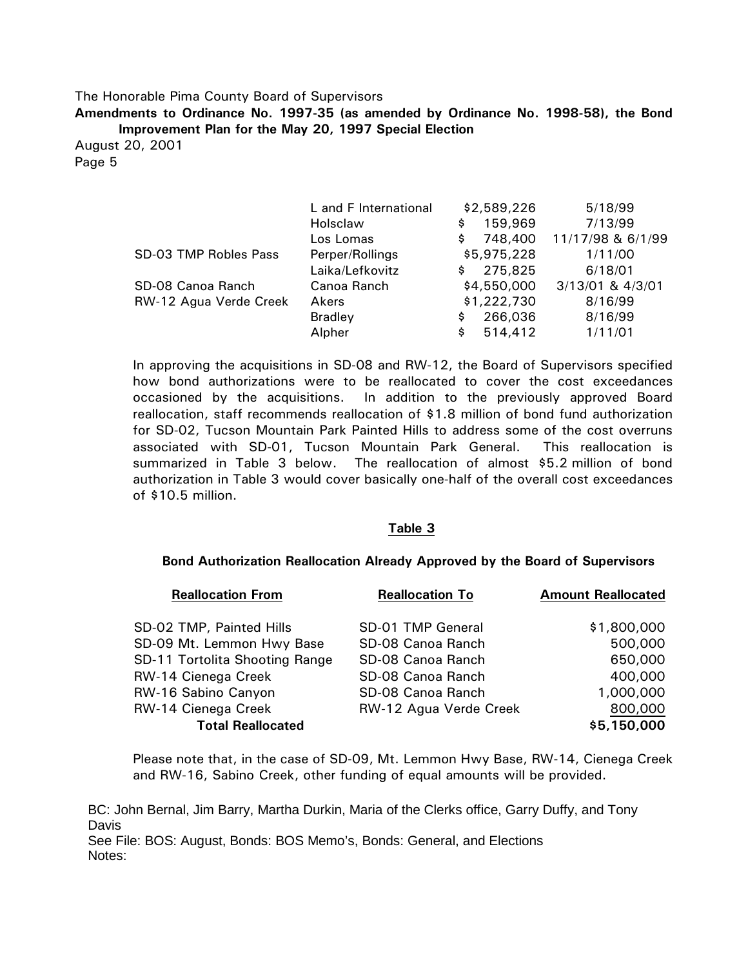**Amendments to Ordinance No. 1997-35 (as amended by Ordinance No. 1998-58), the Bond Improvement Plan for the May 20, 1997 Special Election**

August 20, 2001 Page 5

|                        | L and F International | \$2,589,226    | 5/18/99           |
|------------------------|-----------------------|----------------|-------------------|
|                        | Holsclaw              | 159,969<br>\$  | 7/13/99           |
|                        | Los Lomas             | 748,400<br>\$. | 11/17/98 & 6/1/99 |
| SD-03 TMP Robles Pass  | Perper/Rollings       | \$5,975,228    | 1/11/00           |
|                        | Laika/Lefkovitz       | 275,825<br>\$. | 6/18/01           |
| SD-08 Canoa Ranch      | Canoa Ranch           | \$4,550,000    | 3/13/01 & 4/3/01  |
| RW-12 Agua Verde Creek | Akers                 | \$1,222,730    | 8/16/99           |
|                        | <b>Bradley</b>        | 266,036<br>\$  | 8/16/99           |
|                        | Alpher                | 514,412<br>\$. | 1/11/01           |

In approving the acquisitions in SD-08 and RW-12, the Board of Supervisors specified how bond authorizations were to be reallocated to cover the cost exceedances occasioned by the acquisitions. In addition to the previously approved Board reallocation, staff recommends reallocation of \$1.8 million of bond fund authorization for SD-02, Tucson Mountain Park Painted Hills to address some of the cost overruns associated with SD-01, Tucson Mountain Park General. This reallocation is summarized in Table 3 below. The reallocation of almost \$5.2 million of bond authorization in Table 3 would cover basically one-half of the overall cost exceedances of \$10.5 million.

#### **Table 3**

#### **Bond Authorization Reallocation Already Approved by the Board of Supervisors**

| <b>Reallocation From</b>       | <b>Reallocation To</b> | <b>Amount Reallocated</b> |
|--------------------------------|------------------------|---------------------------|
|                                |                        |                           |
| SD-02 TMP, Painted Hills       | SD-01 TMP General      | \$1,800,000               |
| SD-09 Mt. Lemmon Hwy Base      | SD-08 Canoa Ranch      | 500,000                   |
| SD-11 Tortolita Shooting Range | SD-08 Canoa Ranch      | 650,000                   |
| RW-14 Cienega Creek            | SD-08 Canoa Ranch      | 400,000                   |
| RW-16 Sabino Canyon            | SD-08 Canoa Ranch      | 1,000,000                 |
| RW-14 Cienega Creek            | RW-12 Agua Verde Creek | 800,000                   |
| <b>Total Reallocated</b>       |                        | \$5,150,000               |

Please note that, in the case of SD-09, Mt. Lemmon Hwy Base, RW-14, Cienega Creek and RW-16, Sabino Creek, other funding of equal amounts will be provided.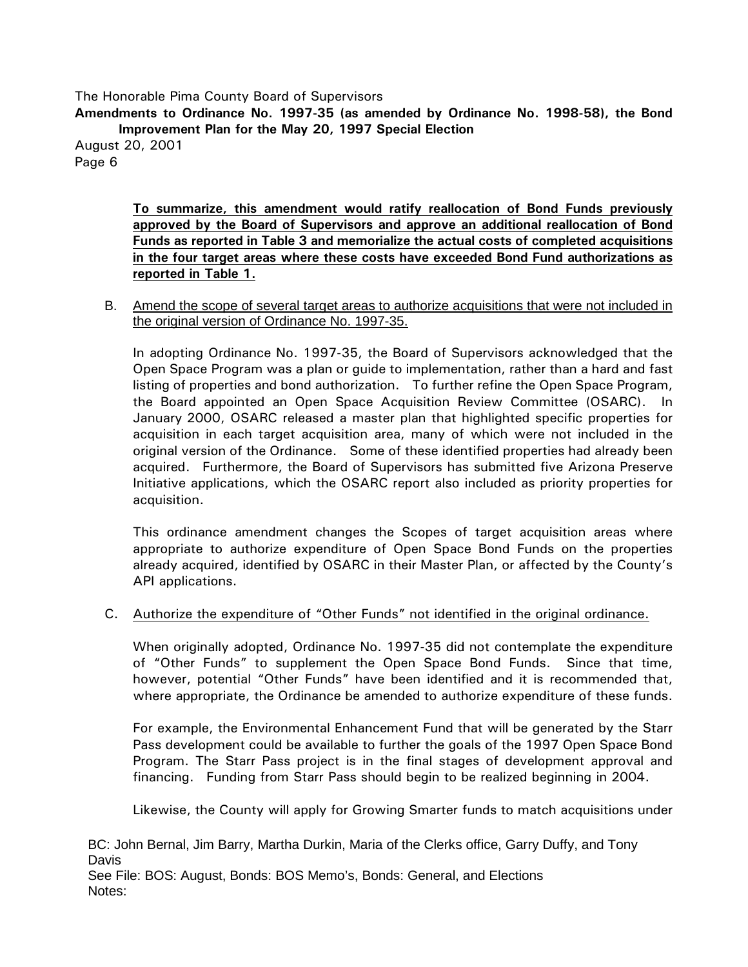**Amendments to Ordinance No. 1997-35 (as amended by Ordinance No. 1998-58), the Bond Improvement Plan for the May 20, 1997 Special Election** August 20, 2001

Page 6

**To summarize, this amendment would ratify reallocation of Bond Funds previously approved by the Board of Supervisors and approve an additional reallocation of Bond Funds as reported in Table 3 and memorialize the actual costs of completed acquisitions in the four target areas where these costs have exceeded Bond Fund authorizations as reported in Table 1.**

B. Amend the scope of several target areas to authorize acquisitions that were not included in the original version of Ordinance No. 1997-35.

In adopting Ordinance No. 1997-35, the Board of Supervisors acknowledged that the Open Space Program was a plan or guide to implementation, rather than a hard and fast listing of properties and bond authorization. To further refine the Open Space Program, the Board appointed an Open Space Acquisition Review Committee (OSARC). In January 2000, OSARC released a master plan that highlighted specific properties for acquisition in each target acquisition area, many of which were not included in the original version of the Ordinance. Some of these identified properties had already been acquired. Furthermore, the Board of Supervisors has submitted five Arizona Preserve Initiative applications, which the OSARC report also included as priority properties for acquisition.

This ordinance amendment changes the Scopes of target acquisition areas where appropriate to authorize expenditure of Open Space Bond Funds on the properties already acquired, identified by OSARC in their Master Plan, or affected by the County's API applications.

### C. Authorize the expenditure of "Other Funds" not identified in the original ordinance.

When originally adopted, Ordinance No. 1997-35 did not contemplate the expenditure of "Other Funds" to supplement the Open Space Bond Funds. Since that time, however, potential "Other Funds" have been identified and it is recommended that, where appropriate, the Ordinance be amended to authorize expenditure of these funds.

For example, the Environmental Enhancement Fund that will be generated by the Starr Pass development could be available to further the goals of the 1997 Open Space Bond Program. The Starr Pass project is in the final stages of development approval and financing. Funding from Starr Pass should begin to be realized beginning in 2004.

Likewise, the County will apply for Growing Smarter funds to match acquisitions under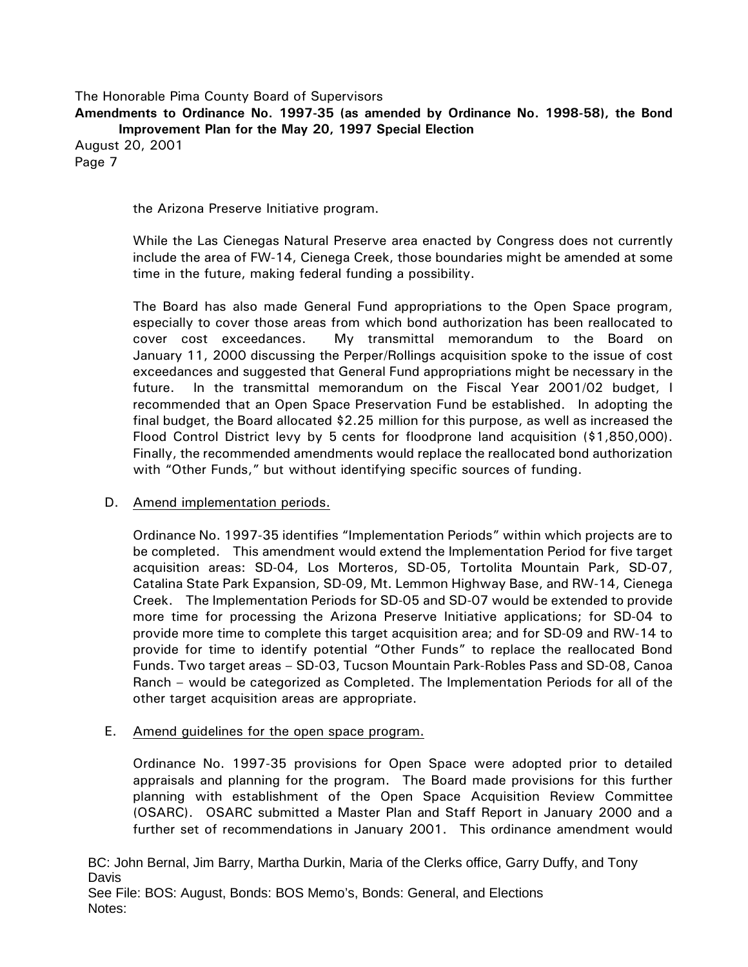**Amendments to Ordinance No. 1997-35 (as amended by Ordinance No. 1998-58), the Bond Improvement Plan for the May 20, 1997 Special Election**

August 20, 2001 Page 7

the Arizona Preserve Initiative program.

While the Las Cienegas Natural Preserve area enacted by Congress does not currently include the area of FW-14, Cienega Creek, those boundaries might be amended at some time in the future, making federal funding a possibility.

The Board has also made General Fund appropriations to the Open Space program, especially to cover those areas from which bond authorization has been reallocated to cover cost exceedances. My transmittal memorandum to the Board on January 11, 2000 discussing the Perper/Rollings acquisition spoke to the issue of cost exceedances and suggested that General Fund appropriations might be necessary in the future. In the transmittal memorandum on the Fiscal Year 2001/02 budget, I recommended that an Open Space Preservation Fund be established. In adopting the final budget, the Board allocated \$2.25 million for this purpose, as well as increased the Flood Control District levy by 5 cents for floodprone land acquisition (\$1,850,000). Finally, the recommended amendments would replace the reallocated bond authorization with "Other Funds," but without identifying specific sources of funding.

### D. Amend implementation periods.

Ordinance No. 1997-35 identifies "Implementation Periods" within which projects are to be completed. This amendment would extend the Implementation Period for five target acquisition areas: SD-04, Los Morteros, SD-05, Tortolita Mountain Park, SD-07, Catalina State Park Expansion, SD-09, Mt. Lemmon Highway Base, and RW-14, Cienega Creek. The Implementation Periods for SD-05 and SD-07 would be extended to provide more time for processing the Arizona Preserve Initiative applications; for SD-04 to provide more time to complete this target acquisition area; and for SD-09 and RW-14 to provide for time to identify potential "Other Funds" to replace the reallocated Bond Funds. Two target areas – SD-03, Tucson Mountain Park-Robles Pass and SD-08, Canoa Ranch – would be categorized as Completed. The Implementation Periods for all of the other target acquisition areas are appropriate.

# E. Amend guidelines for the open space program.

Ordinance No. 1997-35 provisions for Open Space were adopted prior to detailed appraisals and planning for the program. The Board made provisions for this further planning with establishment of the Open Space Acquisition Review Committee (OSARC). OSARC submitted a Master Plan and Staff Report in January 2000 and a further set of recommendations in January 2001. This ordinance amendment would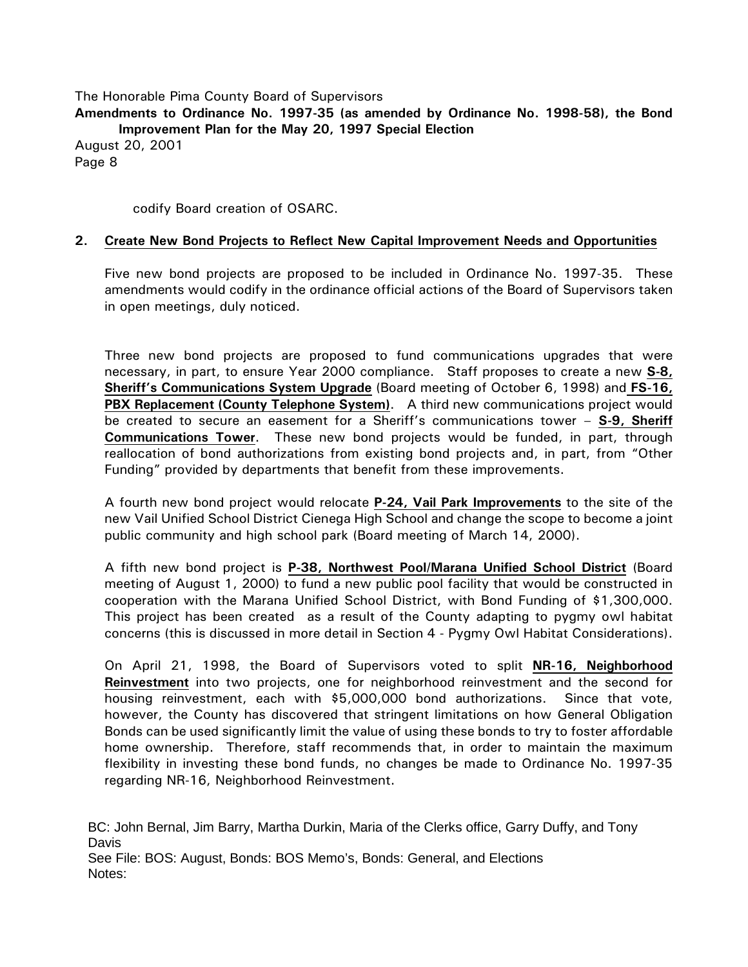**Amendments to Ordinance No. 1997-35 (as amended by Ordinance No. 1998-58), the Bond Improvement Plan for the May 20, 1997 Special Election** August 20, 2001 Page 8

codify Board creation of OSARC.

#### **2. Create New Bond Projects to Reflect New Capital Improvement Needs and Opportunities**

Five new bond projects are proposed to be included in Ordinance No. 1997-35. These amendments would codify in the ordinance official actions of the Board of Supervisors taken in open meetings, duly noticed.

Three new bond projects are proposed to fund communications upgrades that were necessary, in part, to ensure Year 2000 compliance. Staff proposes to create a new **S-8, Sheriff's Communications System Upgrade** (Board meeting of October 6, 1998) and **FS-16, PBX Replacement (County Telephone System)**. A third new communications project would be created to secure an easement for a Sheriff's communications tower – **S-9, Sheriff Communications Tower**. These new bond projects would be funded, in part, through reallocation of bond authorizations from existing bond projects and, in part, from "Other Funding" provided by departments that benefit from these improvements.

A fourth new bond project would relocate **P-24, Vail Park Improvements** to the site of the new Vail Unified School District Cienega High School and change the scope to become a joint public community and high school park (Board meeting of March 14, 2000).

A fifth new bond project is **P-38, Northwest Pool/Marana Unified School District** (Board meeting of August 1, 2000) to fund a new public pool facility that would be constructed in cooperation with the Marana Unified School District, with Bond Funding of \$1,300,000. This project has been created as a result of the County adapting to pygmy owl habitat concerns (this is discussed in more detail in Section 4 - Pygmy Owl Habitat Considerations).

On April 21, 1998, the Board of Supervisors voted to split **NR-16, Neighborhood Reinvestment** into two projects, one for neighborhood reinvestment and the second for housing reinvestment, each with \$5,000,000 bond authorizations. Since that vote, however, the County has discovered that stringent limitations on how General Obligation Bonds can be used significantly limit the value of using these bonds to try to foster affordable home ownership. Therefore, staff recommends that, in order to maintain the maximum flexibility in investing these bond funds, no changes be made to Ordinance No. 1997-35 regarding NR-16, Neighborhood Reinvestment.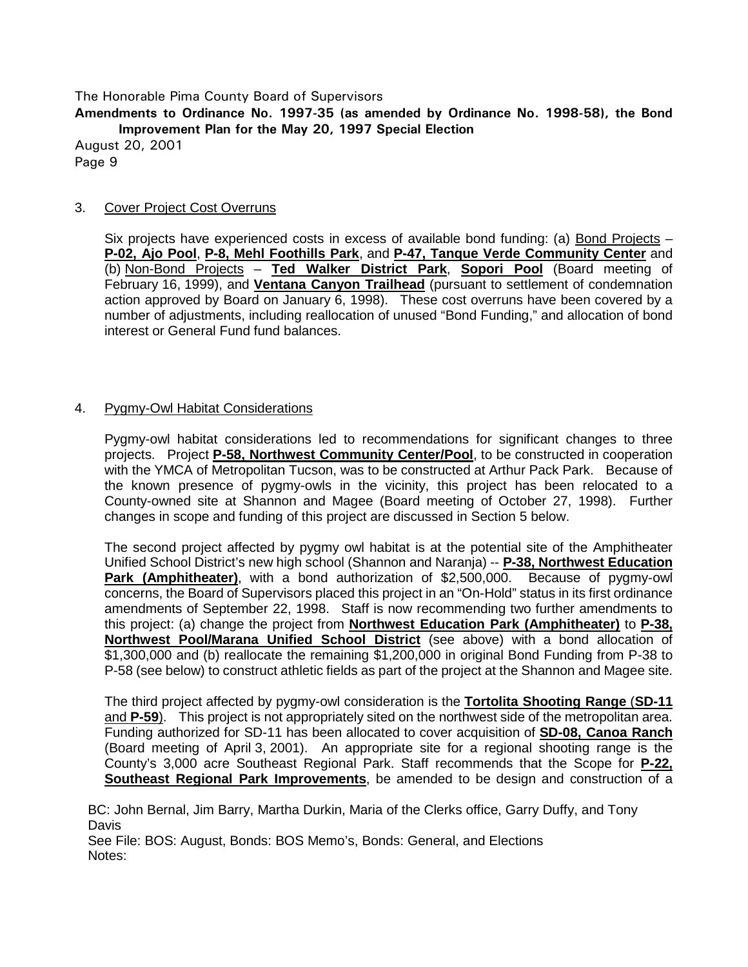**Amendments to Ordinance No. 1997-35 (as amended by Ordinance No. 1998-58), the Bond Improvement Plan for the May 20, 1997 Special Election**

August 20, 2001 Page 9

### 3. Cover Project Cost Overruns

Six projects have experienced costs in excess of available bond funding: (a) Bond Projects – **P-02, Ajo Pool**, **P-8, Mehl Foothills Park**, and **P-47, Tanque Verde Community Center** and (b) Non-Bond Projects – **Ted Walker District Park**, **Sopori Pool** (Board meeting of February 16, 1999), and **Ventana Canyon Trailhead** (pursuant to settlement of condemnation action approved by Board on January 6, 1998). These cost overruns have been covered by a number of adjustments, including reallocation of unused "Bond Funding," and allocation of bond interest or General Fund fund balances.

### 4. Pygmy-Owl Habitat Considerations

Pygmy-owl habitat considerations led to recommendations for significant changes to three projects. Project **P-58, Northwest Community Center/Pool**, to be constructed in cooperation with the YMCA of Metropolitan Tucson, was to be constructed at Arthur Pack Park. Because of the known presence of pygmy-owls in the vicinity, this project has been relocated to a County-owned site at Shannon and Magee (Board meeting of October 27, 1998). Further changes in scope and funding of this project are discussed in Section 5 below.

The second project affected by pygmy owl habitat is at the potential site of the Amphitheater Unified School District's new high school (Shannon and Naranja) -- **P-38, Northwest Education Park (Amphitheater)**, with a bond authorization of \$2,500,000. Because of pygmy-owl concerns, the Board of Supervisors placed this project in an "On-Hold" status in its first ordinance amendments of September 22, 1998. Staff is now recommending two further amendments to this project: (a) change the project from **Northwest Education Park (Amphitheater)** to **P-38, Northwest Pool/Marana Unified School District** (see above) with a bond allocation of \$1,300,000 and (b) reallocate the remaining \$1,200,000 in original Bond Funding from P-38 to P-58 (see below) to construct athletic fields as part of the project at the Shannon and Magee site.

The third project affected by pygmy-owl consideration is the **Tortolita Shooting Range** (**SD-11** and **P-59**). This project is not appropriately sited on the northwest side of the metropolitan area. Funding authorized for SD-11 has been allocated to cover acquisition of **SD-08, Canoa Ranch** (Board meeting of April 3, 2001). An appropriate site for a regional shooting range is the County's 3,000 acre Southeast Regional Park. Staff recommends that the Scope for **P-22, Southeast Regional Park Improvements**, be amended to be design and construction of a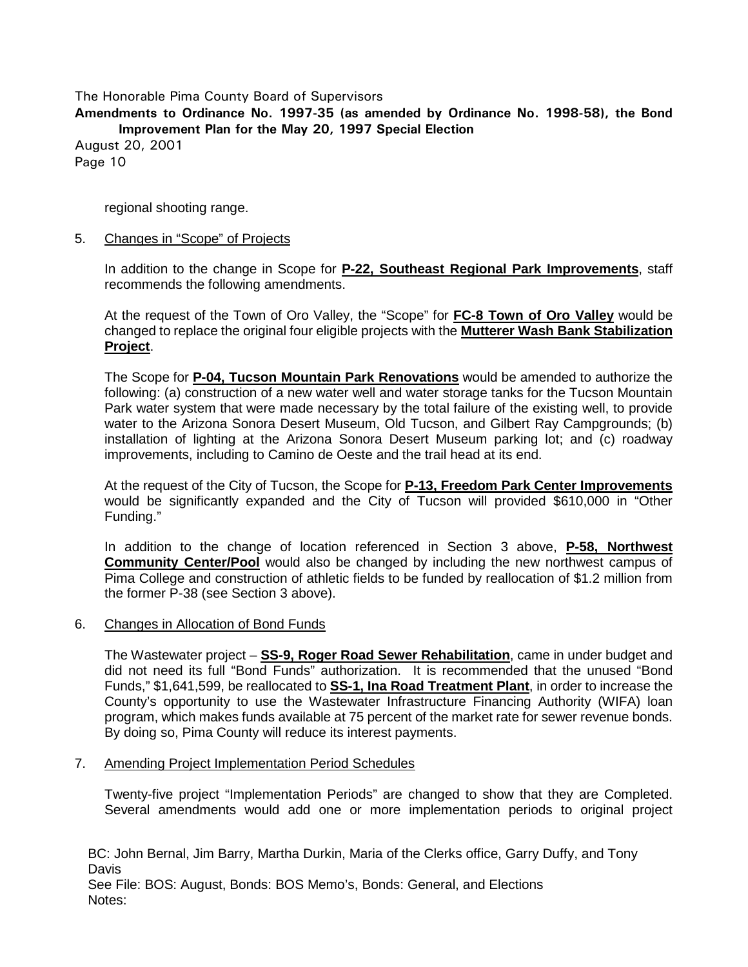**Amendments to Ordinance No. 1997-35 (as amended by Ordinance No. 1998-58), the Bond Improvement Plan for the May 20, 1997 Special Election**

August 20, 2001 Page 10

regional shooting range.

### 5. Changes in "Scope" of Projects

In addition to the change in Scope for **P-22, Southeast Regional Park Improvements**, staff recommends the following amendments.

At the request of the Town of Oro Valley, the "Scope" for **FC-8 Town of Oro Valley** would be changed to replace the original four eligible projects with the **Mutterer Wash Bank Stabilization Project**.

The Scope for **P-04, Tucson Mountain Park Renovations** would be amended to authorize the following: (a) construction of a new water well and water storage tanks for the Tucson Mountain Park water system that were made necessary by the total failure of the existing well, to provide water to the Arizona Sonora Desert Museum, Old Tucson, and Gilbert Ray Campgrounds; (b) installation of lighting at the Arizona Sonora Desert Museum parking lot; and (c) roadway improvements, including to Camino de Oeste and the trail head at its end.

At the request of the City of Tucson, the Scope for **P-13, Freedom Park Center Improvements** would be significantly expanded and the City of Tucson will provided \$610,000 in "Other Funding."

In addition to the change of location referenced in Section 3 above, **P-58, Northwest Community Center/Pool** would also be changed by including the new northwest campus of Pima College and construction of athletic fields to be funded by reallocation of \$1.2 million from the former P-38 (see Section 3 above).

### 6. Changes in Allocation of Bond Funds

The Wastewater project – **SS-9, Roger Road Sewer Rehabilitation**, came in under budget and did not need its full "Bond Funds" authorization. It is recommended that the unused "Bond Funds," \$1,641,599, be reallocated to **SS-1, Ina Road Treatment Plant**, in order to increase the County's opportunity to use the Wastewater Infrastructure Financing Authority (WIFA) loan program, which makes funds available at 75 percent of the market rate for sewer revenue bonds. By doing so, Pima County will reduce its interest payments.

### 7. Amending Project Implementation Period Schedules

Twenty-five project "Implementation Periods" are changed to show that they are Completed. Several amendments would add one or more implementation periods to original project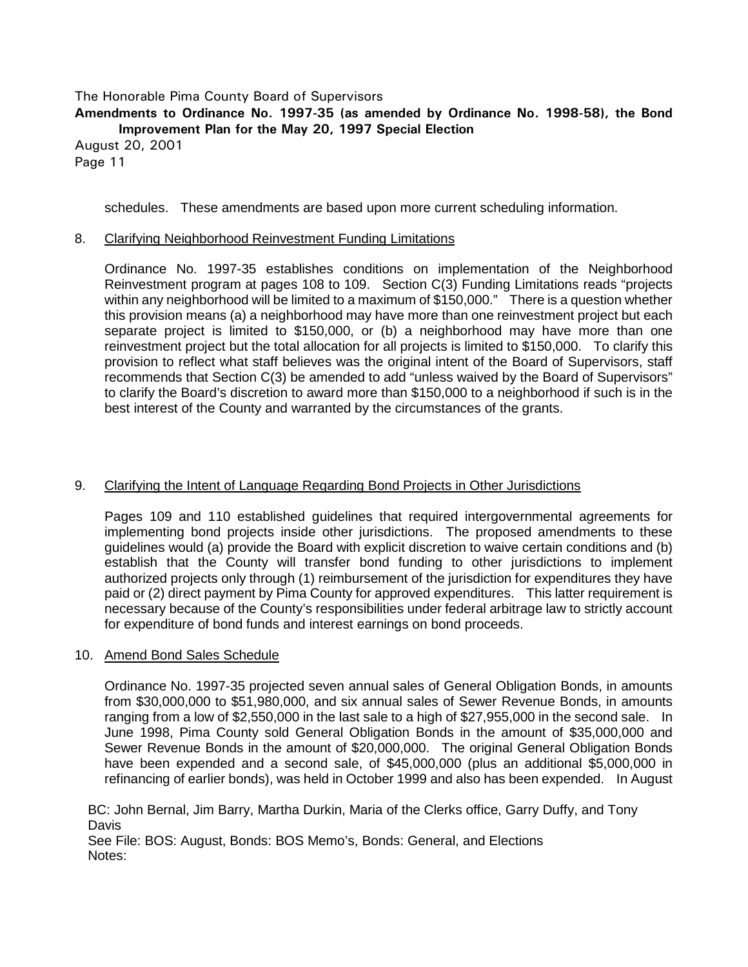### **Amendments to Ordinance No. 1997-35 (as amended by Ordinance No. 1998-58), the Bond Improvement Plan for the May 20, 1997 Special Election**

August 20, 2001 Page 11

schedules. These amendments are based upon more current scheduling information.

## 8. Clarifying Neighborhood Reinvestment Funding Limitations

Ordinance No. 1997-35 establishes conditions on implementation of the Neighborhood Reinvestment program at pages 108 to 109. Section C(3) Funding Limitations reads "projects within any neighborhood will be limited to a maximum of \$150,000." There is a question whether this provision means (a) a neighborhood may have more than one reinvestment project but each separate project is limited to \$150,000, or (b) a neighborhood may have more than one reinvestment project but the total allocation for all projects is limited to \$150,000. To clarify this provision to reflect what staff believes was the original intent of the Board of Supervisors, staff recommends that Section C(3) be amended to add "unless waived by the Board of Supervisors" to clarify the Board's discretion to award more than \$150,000 to a neighborhood if such is in the best interest of the County and warranted by the circumstances of the grants.

# 9. Clarifying the Intent of Language Regarding Bond Projects in Other Jurisdictions

Pages 109 and 110 established guidelines that required intergovernmental agreements for implementing bond projects inside other jurisdictions. The proposed amendments to these guidelines would (a) provide the Board with explicit discretion to waive certain conditions and (b) establish that the County will transfer bond funding to other jurisdictions to implement authorized projects only through (1) reimbursement of the jurisdiction for expenditures they have paid or (2) direct payment by Pima County for approved expenditures. This latter requirement is necessary because of the County's responsibilities under federal arbitrage law to strictly account for expenditure of bond funds and interest earnings on bond proceeds.

### 10. Amend Bond Sales Schedule

Ordinance No. 1997-35 projected seven annual sales of General Obligation Bonds, in amounts from \$30,000,000 to \$51,980,000, and six annual sales of Sewer Revenue Bonds, in amounts ranging from a low of \$2,550,000 in the last sale to a high of \$27,955,000 in the second sale. In June 1998, Pima County sold General Obligation Bonds in the amount of \$35,000,000 and Sewer Revenue Bonds in the amount of \$20,000,000. The original General Obligation Bonds have been expended and a second sale, of \$45,000,000 (plus an additional \$5,000,000 in refinancing of earlier bonds), was held in October 1999 and also has been expended. In August

BC: John Bernal, Jim Barry, Martha Durkin, Maria of the Clerks office, Garry Duffy, and Tony **Davis** 

See File: BOS: August, Bonds: BOS Memo's, Bonds: General, and Elections Notes: